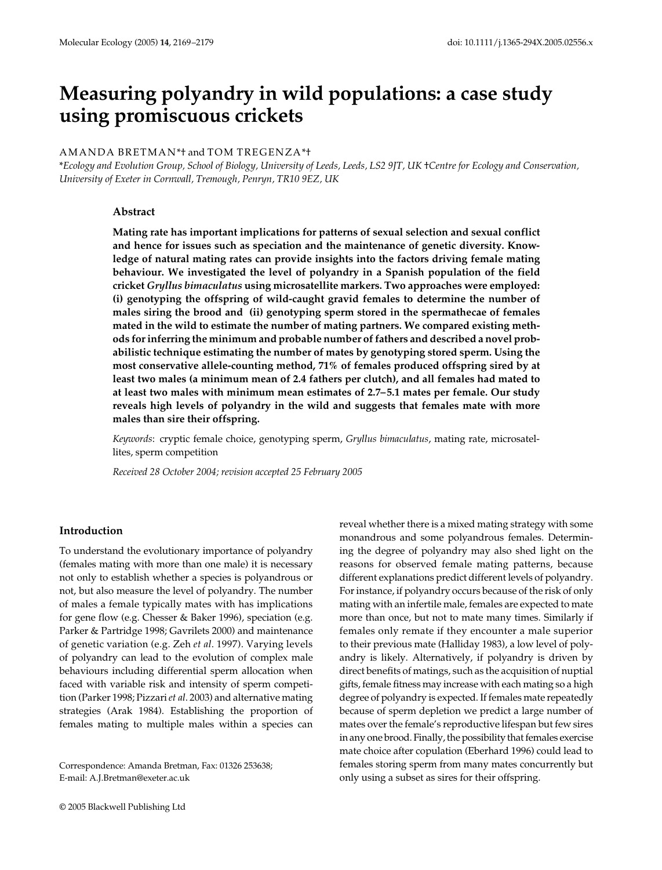# **Measuring polyandry in wild populations: a case study using promiscuous crickets**

## AMANDA BRETMAN\*† and TOM TREGENZA\*†

\**Ecology and Evolution Group, School of Biology, University of Leeds, Leeds, LS2 9JT, UK* †*Centre for Ecology and Conservation, University of Exeter in Cornwall, Tremough, Penryn, TR10 9EZ, UK*

# **Abstract**

**Mating rate has important implications for patterns of sexual selection and sexual conflict and hence for issues such as speciation and the maintenance of genetic diversity. Knowledge of natural mating rates can provide insights into the factors driving female mating behaviour. We investigated the level of polyandry in a Spanish population of the field cricket** *Gryllus bimaculatus* **using microsatellite markers. Two approaches were employed: (i) genotyping the offspring of wild-caught gravid females to determine the number of males siring the brood and (ii) genotyping sperm stored in the spermathecae of females mated in the wild to estimate the number of mating partners. We compared existing methods for inferring the minimum and probable number of fathers and described a novel probabilistic technique estimating the number of mates by genotyping stored sperm. Using the most conservative allele-counting method, 71% of females produced offspring sired by at least two males (a minimum mean of 2.4 fathers per clutch), and all females had mated to at least two males with minimum mean estimates of 2.7–5.1 mates per female. Our study reveals high levels of polyandry in the wild and suggests that females mate with more males than sire their offspring.**

*Keywords*: cryptic female choice, genotyping sperm, *Gryllus bimaculatus*, mating rate, microsatellites, sperm competition

*Received 28 October 2004; revision accepted 25 February 2005*

## **Introduction**

To understand the evolutionary importance of polyandry (females mating with more than one male) it is necessary not only to establish whether a species is polyandrous or not, but also measure the level of polyandry. The number of males a female typically mates with has implications for gene flow (e.g. Chesser & Baker 1996), speciation (e.g. Parker & Partridge 1998; Gavrilets 2000) and maintenance of genetic variation (e.g. Zeh *et al*. 1997). Varying levels of polyandry can lead to the evolution of complex male behaviours including differential sperm allocation when faced with variable risk and intensity of sperm competition (Parker 1998; Pizzari *et al*. 2003) and alternative mating strategies (Arak 1984). Establishing the proportion of females mating to multiple males within a species can

Correspondence: Amanda Bretman, Fax: 01326 253638; E-mail: A.J.Bretman@exeter.ac.uk

reveal whether there is a mixed mating strategy with some monandrous and some polyandrous females. Determining the degree of polyandry may also shed light on the reasons for observed female mating patterns, because different explanations predict different levels of polyandry. For instance, if polyandry occurs because of the risk of only mating with an infertile male, females are expected to mate more than once, but not to mate many times. Similarly if females only remate if they encounter a male superior to their previous mate (Halliday 1983), a low level of polyandry is likely. Alternatively, if polyandry is driven by direct benefits of matings, such as the acquisition of nuptial gifts, female fitness may increase with each mating so a high degree of polyandry is expected. If females mate repeatedly because of sperm depletion we predict a large number of mates over the female's reproductive lifespan but few sires in any one brood. Finally, the possibility that females exercise mate choice after copulation (Eberhard 1996) could lead to females storing sperm from many mates concurrently but only using a subset as sires for their offspring.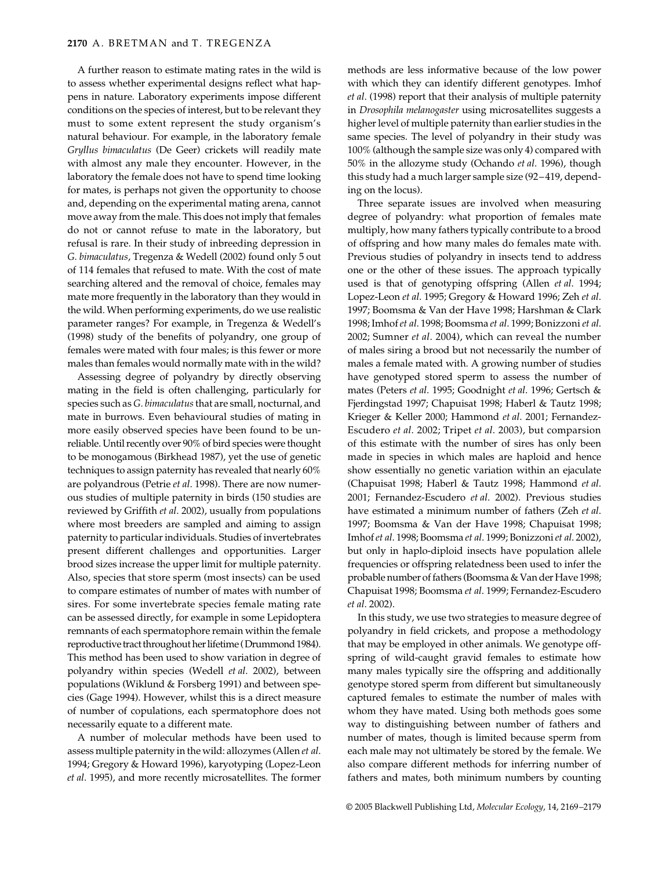A further reason to estimate mating rates in the wild is to assess whether experimental designs reflect what happens in nature. Laboratory experiments impose different conditions on the species of interest, but to be relevant they must to some extent represent the study organism's natural behaviour. For example, in the laboratory female *Gryllus bimaculatus* (De Geer) crickets will readily mate with almost any male they encounter. However, in the laboratory the female does not have to spend time looking for mates, is perhaps not given the opportunity to choose and, depending on the experimental mating arena, cannot move away from the male. This does not imply that females do not or cannot refuse to mate in the laboratory, but refusal is rare. In their study of inbreeding depression in *G. bimaculatus*, Tregenza & Wedell (2002) found only 5 out of 114 females that refused to mate. With the cost of mate searching altered and the removal of choice, females may mate more frequently in the laboratory than they would in the wild. When performing experiments, do we use realistic parameter ranges? For example, in Tregenza & Wedell's (1998) study of the benefits of polyandry, one group of females were mated with four males; is this fewer or more males than females would normally mate with in the wild?

Assessing degree of polyandry by directly observing mating in the field is often challenging, particularly for species such as *G. bimaculatus*that are small, nocturnal, and mate in burrows. Even behavioural studies of mating in more easily observed species have been found to be unreliable. Until recently over 90% of bird species were thought to be monogamous (Birkhead 1987), yet the use of genetic techniques to assign paternity has revealed that nearly 60% are polyandrous (Petrie *et al*. 1998). There are now numerous studies of multiple paternity in birds (150 studies are reviewed by Griffith *et al*. 2002), usually from populations where most breeders are sampled and aiming to assign paternity to particular individuals. Studies of invertebrates present different challenges and opportunities. Larger brood sizes increase the upper limit for multiple paternity. Also, species that store sperm (most insects) can be used to compare estimates of number of mates with number of sires. For some invertebrate species female mating rate can be assessed directly, for example in some Lepidoptera remnants of each spermatophore remain within the female reproductive tract throughout her lifetime (Drummond 1984). This method has been used to show variation in degree of polyandry within species (Wedell *et al*. 2002), between populations (Wiklund & Forsberg 1991) and between species (Gage 1994). However, whilst this is a direct measure of number of copulations, each spermatophore does not necessarily equate to a different mate.

A number of molecular methods have been used to assess multiple paternity in the wild: allozymes (Allen *et al*. 1994; Gregory & Howard 1996), karyotyping (Lopez-Leon *et al*. 1995), and more recently microsatellites. The former methods are less informative because of the low power with which they can identify different genotypes. Imhof *et al*. (1998) report that their analysis of multiple paternity in *Drosophila melanogaster* using microsatellites suggests a higher level of multiple paternity than earlier studies in the same species. The level of polyandry in their study was 100% (although the sample size was only 4) compared with 50% in the allozyme study (Ochando *et al*. 1996), though this study had a much larger sample size (92–419, depending on the locus).

Three separate issues are involved when measuring degree of polyandry: what proportion of females mate multiply, how many fathers typically contribute to a brood of offspring and how many males do females mate with. Previous studies of polyandry in insects tend to address one or the other of these issues. The approach typically used is that of genotyping offspring (Allen *et al*. 1994; Lopez-Leon *et al*. 1995; Gregory & Howard 1996; Zeh *et al*. 1997; Boomsma & Van der Have 1998; Harshman & Clark 1998; Imhof *et al*. 1998; Boomsma *et al*. 1999; Bonizzoni *et al*. 2002; Sumner *et al*. 2004), which can reveal the number of males siring a brood but not necessarily the number of males a female mated with. A growing number of studies have genotyped stored sperm to assess the number of mates (Peters *et al*. 1995; Goodnight *et al*. 1996; Gertsch & Fjerdingstad 1997; Chapuisat 1998; Haberl & Tautz 1998; Krieger & Keller 2000; Hammond *et al*. 2001; Fernandez-Escudero *et al*. 2002; Tripet *et al*. 2003), but comparsion of this estimate with the number of sires has only been made in species in which males are haploid and hence show essentially no genetic variation within an ejaculate (Chapuisat 1998; Haberl & Tautz 1998; Hammond *et al*. 2001; Fernandez-Escudero *et al*. 2002). Previous studies have estimated a minimum number of fathers (Zeh *et al*. 1997; Boomsma & Van der Have 1998; Chapuisat 1998; Imhof *et al*. 1998; Boomsma *et al*. 1999; Bonizzoni *et al*. 2002), but only in haplo-diploid insects have population allele frequencies or offspring relatedness been used to infer the probable number of fathers (Boomsma & Van der Have 1998; Chapuisat 1998; Boomsma *et al*. 1999; Fernandez-Escudero *et al*. 2002).

In this study, we use two strategies to measure degree of polyandry in field crickets, and propose a methodology that may be employed in other animals. We genotype offspring of wild-caught gravid females to estimate how many males typically sire the offspring and additionally genotype stored sperm from different but simultaneously captured females to estimate the number of males with whom they have mated. Using both methods goes some way to distinguishing between number of fathers and number of mates, though is limited because sperm from each male may not ultimately be stored by the female. We also compare different methods for inferring number of fathers and mates, both minimum numbers by counting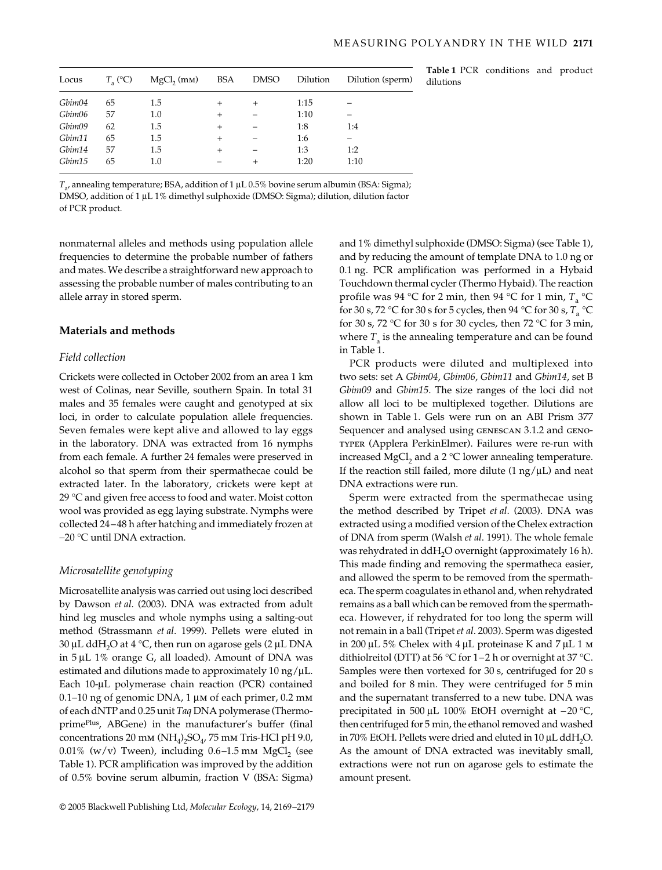| Locus  | $T_{\alpha}$ (°C) | MgCl <sub>2</sub> (mM) | <b>BSA</b> | <b>DMSO</b> | Dilution | Dilution (sperm) |  |
|--------|-------------------|------------------------|------------|-------------|----------|------------------|--|
| Gbim04 | 65                | 1.5                    | $\,^+$     | $^{+}$      | 1:15     |                  |  |
| Gbim06 | 57                | 1.0                    | $\,^+$     |             | 1:10     |                  |  |
| Gbim09 | 62                | 1.5                    | $^{+}$     |             | 1:8      | 1:4              |  |
| Gbim11 | 65                | 1.5                    | $^{+}$     |             | 1:6      |                  |  |
| Gbim14 | 57                | 1.5                    | $^{+}$     |             | 1:3      | 1:2              |  |
| Gbim15 | 65                | 1.0                    |            | $^{+}$      | 1:20     | 1:10             |  |
|        |                   |                        |            |             |          |                  |  |

**Table 1** PCR conditions and product dilutions

 $T_{\alpha}$ , annealing temperature; BSA, addition of 1 µL 0.5% bovine serum albumin (BSA: Sigma); DMSO, addition of 1 µL 1% dimethyl sulphoxide (DMSO: Sigma); dilution, dilution factor of PCR product.

nonmaternal alleles and methods using population allele frequencies to determine the probable number of fathers and mates. We describe a straightforward new approach to assessing the probable number of males contributing to an allele array in stored sperm.

## **Materials and methods**

# *Field collection*

Crickets were collected in October 2002 from an area 1 km west of Colinas, near Seville, southern Spain. In total 31 males and 35 females were caught and genotyped at six loci, in order to calculate population allele frequencies. Seven females were kept alive and allowed to lay eggs in the laboratory. DNA was extracted from 16 nymphs from each female. A further 24 females were preserved in alcohol so that sperm from their spermathecae could be extracted later. In the laboratory, crickets were kept at 29 °C and given free access to food and water. Moist cotton wool was provided as egg laying substrate. Nymphs were collected 24–48 h after hatching and immediately frozen at −20 °C until DNA extraction.

## *Microsatellite genotyping*

Microsatellite analysis was carried out using loci described by Dawson *et al*. (2003). DNA was extracted from adult hind leg muscles and whole nymphs using a salting-out method (Strassmann *et al*. 1999). Pellets were eluted in 30 µL ddH<sub>2</sub>O at 4 °C, then run on agarose gels (2 µL DNA in 5 µL 1% orange G, all loaded). Amount of DNA was estimated and dilutions made to approximately 10 ng/µL. Each 10-µL polymerase chain reaction (PCR) contained 0.1–10 ng of genomic DNA, 1 µm of each primer, 0.2 mm of each dNTP and 0.25 unit *Taq* DNA polymerase (ThermoprimePlus, ABGene) in the manufacturer's buffer (final concentrations 20 mm (NH<sub>4</sub>)<sub>2</sub>SO<sub>4</sub>, 75 mm Tris-HCl pH 9.0,  $0.01\%$  (w/v) Tween), including  $0.6-1.5$  mm MgCl<sub>2</sub> (see Table 1). PCR amplification was improved by the addition of 0.5% bovine serum albumin, fraction V (BSA: Sigma) and 1% dimethyl sulphoxide (DMSO: Sigma) (see Table 1), and by reducing the amount of template DNA to 1.0 ng or 0.1 ng. PCR amplification was performed in a Hybaid Touchdown thermal cycler (Thermo Hybaid). The reaction profile was 94 °C for 2 min, then 94 °C for 1 min, *T*<sup>a</sup> °C for 30 s, 72 °C for 30 s for 5 cycles, then 94 °C for 30 s,  $T_a$  °C for 30 s, 72 °C for 30 s for 30 cycles, then 72 °C for 3 min, where  $T_a$  is the annealing temperature and can be found in Table 1.

PCR products were diluted and multiplexed into two sets: set A *Gbim04*, *Gbim06*, *Gbim11* and *Gbim14*, set B *Gbim09* and *Gbim15*. The size ranges of the loci did not allow all loci to be multiplexed together. Dilutions are shown in Table 1. Gels were run on an ABI Prism 377 Sequencer and analysed using genescan 3.1.2 and genotyper (Applera PerkinElmer). Failures were re-run with increased MgCl<sub>2</sub> and a 2  $\rm{^{\circ}C}$  lower annealing temperature. If the reaction still failed, more dilute  $(1 \text{ ng}/\mu\text{L})$  and neat DNA extractions were run.

Sperm were extracted from the spermathecae using the method described by Tripet *et al*. (2003). DNA was extracted using a modified version of the Chelex extraction of DNA from sperm (Walsh *et al*. 1991). The whole female was rehydrated in ddH<sub>2</sub>O overnight (approximately 16 h). This made finding and removing the spermatheca easier, and allowed the sperm to be removed from the spermatheca. The sperm coagulates in ethanol and, when rehydrated remains as a ball which can be removed from the spermatheca. However, if rehydrated for too long the sperm will not remain in a ball (Tripet *et al*. 2003). Sperm was digested in 200  $\mu$ L 5% Chelex with 4  $\mu$ L proteinase K and 7  $\mu$ L 1 M dithiolreitol (DTT) at 56 °C for 1–2 h or overnight at 37 °C. Samples were then vortexed for 30 s, centrifuged for 20 s and boiled for 8 min. They were centrifuged for 5 min and the supernatant transferred to a new tube. DNA was precipitated in 500 µL 100% EtOH overnight at −20 °C, then centrifuged for 5 min, the ethanol removed and washed in 70% EtOH. Pellets were dried and eluted in  $10 \mu L$  ddH<sub>2</sub>O. As the amount of DNA extracted was inevitably small, extractions were not run on agarose gels to estimate the amount present.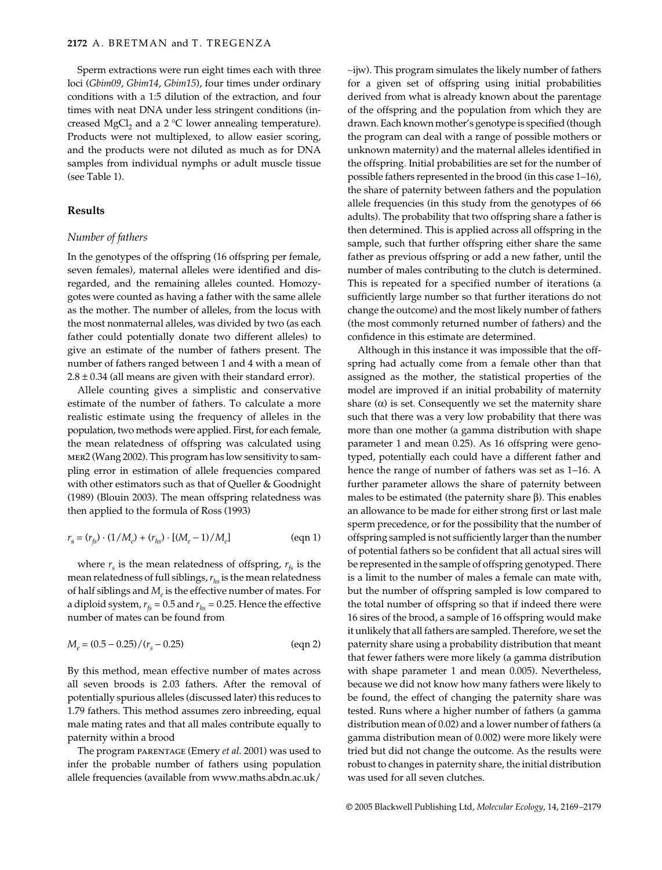Sperm extractions were run eight times each with three loci (*Gbim09*, *Gbim14*, *Gbim15*), four times under ordinary conditions with a 1:5 dilution of the extraction, and four times with neat DNA under less stringent conditions (increased MgCl<sub>2</sub> and a 2  $\degree$ C lower annealing temperature). Products were not multiplexed, to allow easier scoring, and the products were not diluted as much as for DNA samples from individual nymphs or adult muscle tissue (see Table 1).

## **Results**

## *Number of fathers*

In the genotypes of the offspring (16 offspring per female, seven females), maternal alleles were identified and disregarded, and the remaining alleles counted. Homozygotes were counted as having a father with the same allele as the mother. The number of alleles, from the locus with the most nonmaternal alleles, was divided by two (as each father could potentially donate two different alleles) to give an estimate of the number of fathers present. The number of fathers ranged between 1 and 4 with a mean of  $2.8 \pm 0.34$  (all means are given with their standard error).

Allele counting gives a simplistic and conservative estimate of the number of fathers. To calculate a more realistic estimate using the frequency of alleles in the population, two methods were applied. First, for each female, the mean relatedness of offspring was calculated using mer2 (Wang 2002). This program has low sensitivity to sampling error in estimation of allele frequencies compared with other estimators such as that of Queller & Goodnight (1989) (Blouin 2003). The mean offspring relatedness was then applied to the formula of Ross (1993)

$$
r_{s} = (r_{fs}) \cdot (1/M_e) + (r_{hs}) \cdot [(M_e - 1)/M_e]
$$
 (eqn 1)

where  $r_s$  is the mean relatedness of offspring,  $r_s$  is the mean relatedness of full siblings,  $r_{hs}$  is the mean relatedness of half siblings and  $M_e$  is the effective number of mates. For a diploid system,  $r_{fs} = 0.5$  and  $r_{hs} = 0.25$ . Hence the effective number of mates can be found from

$$
M_e = (0.5 - 0.25) / (r_s - 0.25)
$$
 (eqn 2)

By this method, mean effective number of mates across all seven broods is 2.03 fathers. After the removal of potentially spurious alleles (discussed later) this reduces to 1.79 fathers. This method assumes zero inbreeding, equal male mating rates and that all males contribute equally to paternity within a brood

The program parentage (Emery *et al*. 2001) was used to infer the probable number of fathers using population allele frequencies (available from www.maths.abdn.ac.uk/ ∼ijw). This program simulates the likely number of fathers for a given set of offspring using initial probabilities derived from what is already known about the parentage of the offspring and the population from which they are drawn. Each known mother's genotype is specified (though the program can deal with a range of possible mothers or unknown maternity) and the maternal alleles identified in the offspring. Initial probabilities are set for the number of possible fathers represented in the brood (in this case 1–16), the share of paternity between fathers and the population allele frequencies (in this study from the genotypes of 66 adults). The probability that two offspring share a father is then determined. This is applied across all offspring in the sample, such that further offspring either share the same father as previous offspring or add a new father, until the number of males contributing to the clutch is determined. This is repeated for a specified number of iterations (a sufficiently large number so that further iterations do not change the outcome) and the most likely number of fathers (the most commonly returned number of fathers) and the confidence in this estimate are determined.

Although in this instance it was impossible that the offspring had actually come from a female other than that assigned as the mother, the statistical properties of the model are improved if an initial probability of maternity share  $(\alpha)$  is set. Consequently we set the maternity share such that there was a very low probability that there was more than one mother (a gamma distribution with shape parameter 1 and mean 0.25). As 16 offspring were genotyped, potentially each could have a different father and hence the range of number of fathers was set as 1–16. A further parameter allows the share of paternity between males to be estimated (the paternity share β). This enables an allowance to be made for either strong first or last male sperm precedence, or for the possibility that the number of offspring sampled is not sufficiently larger than the number of potential fathers so be confident that all actual sires will be represented in the sample of offspring genotyped. There is a limit to the number of males a female can mate with, but the number of offspring sampled is low compared to the total number of offspring so that if indeed there were 16 sires of the brood, a sample of 16 offspring would make it unlikely that all fathers are sampled. Therefore, we set the paternity share using a probability distribution that meant that fewer fathers were more likely (a gamma distribution with shape parameter 1 and mean 0.005). Nevertheless, because we did not know how many fathers were likely to be found, the effect of changing the paternity share was tested. Runs where a higher number of fathers (a gamma distribution mean of 0.02) and a lower number of fathers (a gamma distribution mean of 0.002) were more likely were tried but did not change the outcome. As the results were robust to changes in paternity share, the initial distribution was used for all seven clutches.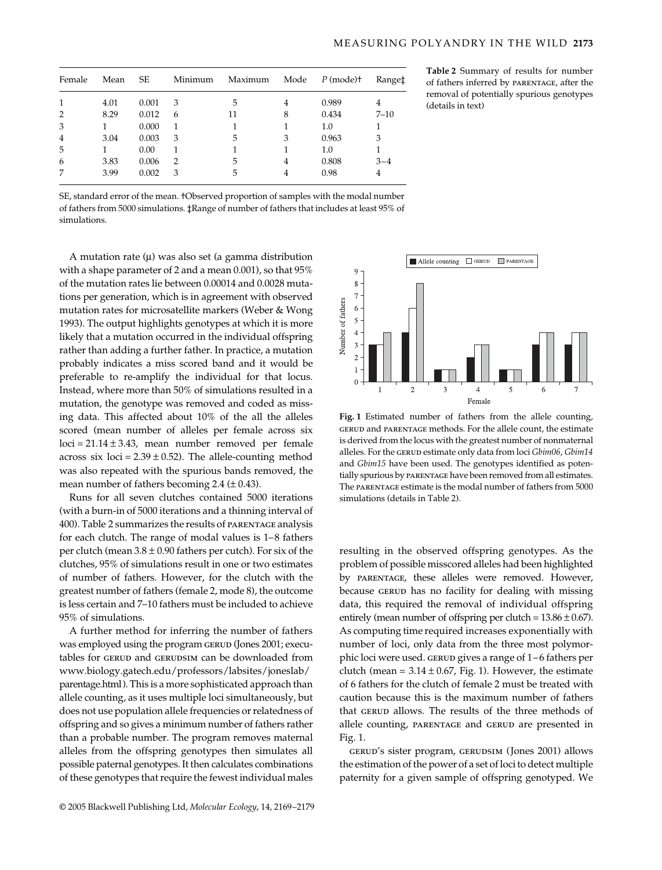| Female | Mean | SE    | Minimum | Maximum | Mode | $P$ (mode) $\dagger$ | Range <sup>+</sup> |
|--------|------|-------|---------|---------|------|----------------------|--------------------|
|        | 4.01 | 0.001 | 3       | 5       | 4    | 0.989                | 4                  |
| 2      | 8.29 | 0.012 | 6       | 11      | 8    | 0.434                | $7 - 10$           |
| 3      |      | 0.000 |         |         |      | 1.0                  |                    |
| 4      | 3.04 | 0.003 | 3       | 5       | 3    | 0.963                | 3                  |
| 5      |      | 0.00  |         |         |      | 1.0                  |                    |
| 6      | 3.83 | 0.006 | 2       | 5       | 4    | 0.808                | $3 - 4$            |
| 7      | 3.99 | 0.002 | 3       | 5       | 4    | 0.98                 | 4                  |

**Table 2** Summary of results for number of fathers inferred by parentage, after the removal of potentially spurious genotypes (details in text)

SE, standard error of the mean. †Observed proportion of samples with the modal number of fathers from 5000 simulations. ‡Range of number of fathers that includes at least 95% of simulations.

A mutation rate  $(\mu)$  was also set (a gamma distribution with a shape parameter of 2 and a mean 0.001), so that 95% of the mutation rates lie between 0.00014 and 0.0028 mutations per generation, which is in agreement with observed mutation rates for microsatellite markers (Weber & Wong 1993). The output highlights genotypes at which it is more likely that a mutation occurred in the individual offspring rather than adding a further father. In practice, a mutation probably indicates a miss scored band and it would be preferable to re-amplify the individual for that locus. Instead, where more than 50% of simulations resulted in a mutation, the genotype was removed and coded as missing data. This affected about 10% of the all the alleles scored (mean number of alleles per female across six  $loci = 21.14 \pm 3.43$ , mean number removed per female across six loci =  $2.39 \pm 0.52$ ). The allele-counting method was also repeated with the spurious bands removed, the mean number of fathers becoming 2.4  $(\pm 0.43)$ .

Runs for all seven clutches contained 5000 iterations (with a burn-in of 5000 iterations and a thinning interval of 400). Table 2 summarizes the results of parentage analysis for each clutch. The range of modal values is 1–8 fathers per clutch (mean  $3.8 \pm 0.90$  fathers per cutch). For six of the clutches, 95% of simulations result in one or two estimates of number of fathers. However, for the clutch with the greatest number of fathers (female 2, mode 8), the outcome is less certain and 7–10 fathers must be included to achieve 95% of simulations.

A further method for inferring the number of fathers was employed using the program GERUD (Jones 2001; executables for GERUD and GERUDSIM can be downloaded from www.biology.gatech.edu/professors/labsites/joneslab/ parentage.html). This is a more sophisticated approach than allele counting, as it uses multiple loci simultaneously, but does not use population allele frequencies or relatedness of offspring and so gives a minimum number of fathers rather than a probable number. The program removes maternal alleles from the offspring genotypes then simulates all possible paternal genotypes. It then calculates combinations of these genotypes that require the fewest individual males



**Fig. 1** Estimated number of fathers from the allele counting, gerud and parentage methods. For the allele count, the estimate is derived from the locus with the greatest number of nonmaternal alleles. For the gerud estimate only data from loci *Gbim06*, *Gbim14* and *Gbim15* have been used. The genotypes identified as potentially spurious by parentage have been removed from all estimates. The parentage estimate is the modal number of fathers from 5000 simulations (details in Table 2).

resulting in the observed offspring genotypes. As the problem of possible misscored alleles had been highlighted by parentage, these alleles were removed. However, because GERUD has no facility for dealing with missing data, this required the removal of individual offspring entirely (mean number of offspring per clutch =  $13.86 \pm 0.67$ ). As computing time required increases exponentially with number of loci, only data from the three most polymorphic loci were used. GERUD gives a range of 1–6 fathers per clutch (mean =  $3.14 \pm 0.67$ , Fig. 1). However, the estimate of 6 fathers for the clutch of female 2 must be treated with caution because this is the maximum number of fathers that gerup allows. The results of the three methods of allele counting, PARENTAGE and GERUD are presented in Fig. 1.

gerud's sister program, gerudsim (Jones 2001) allows the estimation of the power of a set of loci to detect multiple paternity for a given sample of offspring genotyped. We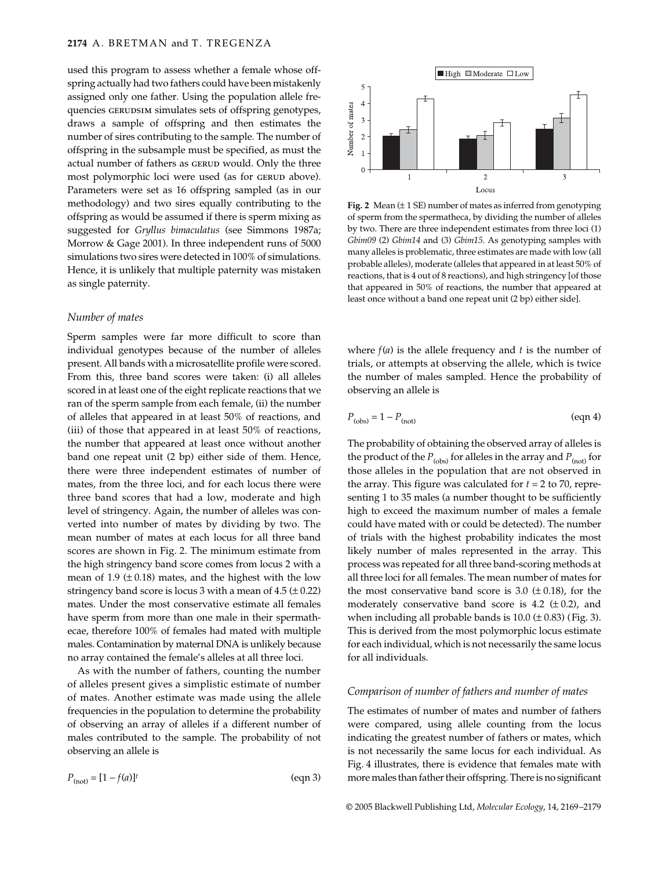## 2174 A. BRETMAN and T. TREGENZA

used this program to assess whether a female whose offspring actually had two fathers could have been mistakenly assigned only one father. Using the population allele frequencies GERUDSIM simulates sets of offspring genotypes, draws a sample of offspring and then estimates the number of sires contributing to the sample. The number of offspring in the subsample must be specified, as must the actual number of fathers as GERUD would. Only the three most polymorphic loci were used (as for GERUD above). Parameters were set as 16 offspring sampled (as in our methodology) and two sires equally contributing to the offspring as would be assumed if there is sperm mixing as suggested for *Gryllus bimaculatus* (see Simmons 1987a; Morrow & Gage 2001). In three independent runs of 5000 simulations two sires were detected in 100% of simulations. Hence, it is unlikely that multiple paternity was mistaken as single paternity.

#### *Number of mates*

Sperm samples were far more difficult to score than individual genotypes because of the number of alleles present. All bands with a microsatellite profile were scored. From this, three band scores were taken: (i) all alleles scored in at least one of the eight replicate reactions that we ran of the sperm sample from each female, (ii) the number of alleles that appeared in at least 50% of reactions, and (iii) of those that appeared in at least 50% of reactions, the number that appeared at least once without another band one repeat unit (2 bp) either side of them. Hence, there were three independent estimates of number of mates, from the three loci, and for each locus there were three band scores that had a low, moderate and high level of stringency. Again, the number of alleles was converted into number of mates by dividing by two. The mean number of mates at each locus for all three band scores are shown in Fig. 2. The minimum estimate from the high stringency band score comes from locus 2 with a mean of 1.9  $(\pm 0.18)$  mates, and the highest with the low stringency band score is locus 3 with a mean of  $4.5 (\pm 0.22)$ mates. Under the most conservative estimate all females have sperm from more than one male in their spermathecae, therefore 100% of females had mated with multiple males. Contamination by maternal DNA is unlikely because no array contained the female's alleles at all three loci.

As with the number of fathers, counting the number of alleles present gives a simplistic estimate of number of mates. Another estimate was made using the allele frequencies in the population to determine the probability of observing an array of alleles if a different number of males contributed to the sample. The probability of not observing an allele is

$$
P_{\text{(not)}} = [1 - f(a)]^t \tag{eqn 3}
$$



**Fig. 2** Mean (± 1 SE) number of mates as inferred from genotyping of sperm from the spermatheca, by dividing the number of alleles by two. There are three independent estimates from three loci (1) *Gbim09* (2) *Gbim14* and (3) *Gbim15*. As genotyping samples with many alleles is problematic, three estimates are made with low (all probable alleles), moderate (alleles that appeared in at least 50% of reactions, that is 4 out of 8 reactions), and high stringency [of those that appeared in 50% of reactions, the number that appeared at least once without a band one repeat unit (2 bp) either side].

where  $f(a)$  is the allele frequency and  $t$  is the number of trials, or attempts at observing the allele, which is twice the number of males sampled. Hence the probability of observing an allele is

$$
P_{\text{(obs)}} = 1 - P_{\text{(not)}}
$$
 (eqn 4)

The probability of obtaining the observed array of alleles is the product of the  $P_{(obs)}$  for alleles in the array and  $P_{(not)}$  for those alleles in the population that are not observed in the array. This figure was calculated for *t* = 2 to 70, representing 1 to 35 males (a number thought to be sufficiently high to exceed the maximum number of males a female could have mated with or could be detected). The number of trials with the highest probability indicates the most likely number of males represented in the array. This process was repeated for all three band-scoring methods at all three loci for all females. The mean number of mates for the most conservative band score is 3.0  $(\pm 0.18)$ , for the moderately conservative band score is 4.2  $(\pm 0.2)$ , and when including all probable bands is  $10.0 \ (\pm 0.83)$  (Fig. 3). This is derived from the most polymorphic locus estimate for each individual, which is not necessarily the same locus for all individuals.

#### *Comparison of number of fathers and number of mates*

The estimates of number of mates and number of fathers were compared, using allele counting from the locus indicating the greatest number of fathers or mates, which is not necessarily the same locus for each individual. As Fig. 4 illustrates, there is evidence that females mate with more males than father their offspring. There is no significant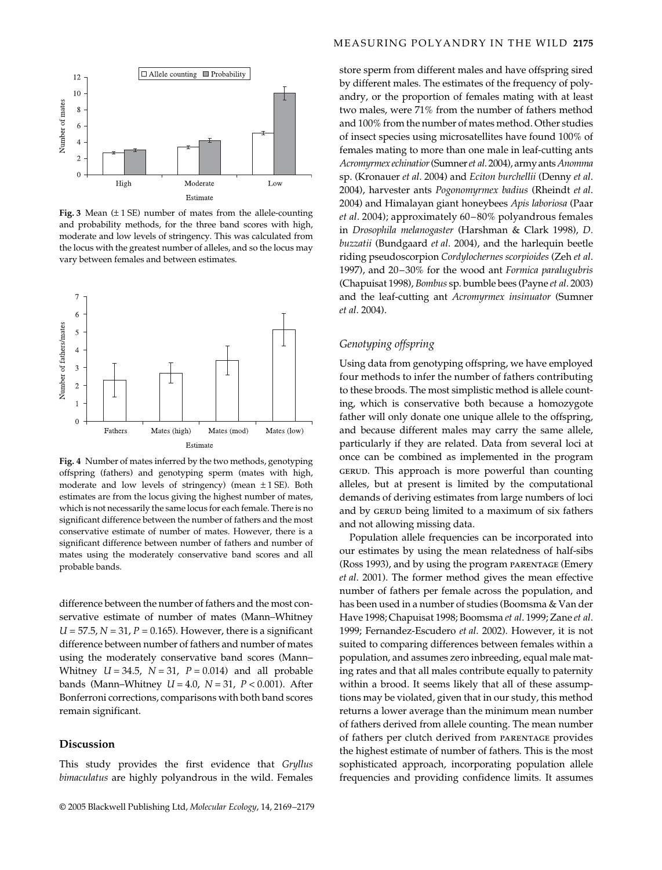

**Fig. 3** Mean  $(\pm 1 \text{ SE})$  number of mates from the allele-counting and probability methods, for the three band scores with high, moderate and low levels of stringency. This was calculated from the locus with the greatest number of alleles, and so the locus may vary between females and between estimates.



**Fig. 4** Number of mates inferred by the two methods, genotyping offspring (fathers) and genotyping sperm (mates with high, moderate and low levels of stringency) (mean  $\pm$  1 SE). Both estimates are from the locus giving the highest number of mates, which is not necessarily the same locus for each female. There is no significant difference between the number of fathers and the most conservative estimate of number of mates. However, there is a significant difference between number of fathers and number of mates using the moderately conservative band scores and all probable bands.

difference between the number of fathers and the most conservative estimate of number of mates (Mann–Whitney  $U = 57.5$ ,  $N = 31$ ,  $P = 0.165$ ). However, there is a significant difference between number of fathers and number of mates using the moderately conservative band scores (Mann– Whitney  $U = 34.5$ ,  $N = 31$ ,  $P = 0.014$ ) and all probable bands (Mann–Whitney *U* = 4.0, *N* = 31, *P* < 0.001). After Bonferroni corrections, comparisons with both band scores remain significant.

#### **Discussion**

This study provides the first evidence that *Gryllus bimaculatus* are highly polyandrous in the wild. Females store sperm from different males and have offspring sired by different males. The estimates of the frequency of polyandry, or the proportion of females mating with at least two males, were 71% from the number of fathers method and 100% from the number of mates method. Other studies of insect species using microsatellites have found 100% of females mating to more than one male in leaf-cutting ants *Acromyrmex echinatior*(Sumner *et al*. 2004), army ants *Anomma* sp. (Kronauer *et al*. 2004) and *Eciton burchellii* (Denny *et al*. 2004), harvester ants *Pogonomyrmex badius* (Rheindt *et al*. 2004) and Himalayan giant honeybees *Apis laboriosa* (Paar *et al*. 2004); approximately 60–80% polyandrous females in *Drosophila melanogaster* (Harshman & Clark 1998), *D. buzzatii* (Bundgaard *et al*. 2004), and the harlequin beetle riding pseudoscorpion *Cordylochernes scorpioides* (Zeh *et al*. 1997), and 20–30% for the wood ant *Formica paralugubris* (Chapuisat 1998), *Bombus* sp. bumble bees (Payne *et al*. 2003) and the leaf-cutting ant *Acromyrmex insinuator* (Sumner *et al*. 2004).

# *Genotyping offspring*

Using data from genotyping offspring, we have employed four methods to infer the number of fathers contributing to these broods. The most simplistic method is allele counting, which is conservative both because a homozygote father will only donate one unique allele to the offspring, and because different males may carry the same allele, particularly if they are related. Data from several loci at once can be combined as implemented in the program GERUD. This approach is more powerful than counting alleles, but at present is limited by the computational demands of deriving estimates from large numbers of loci and by GERUD being limited to a maximum of six fathers and not allowing missing data.

Population allele frequencies can be incorporated into our estimates by using the mean relatedness of half-sibs (Ross 1993), and by using the program PARENTAGE (Emery *et al*. 2001). The former method gives the mean effective number of fathers per female across the population, and has been used in a number of studies (Boomsma & Van der Have 1998; Chapuisat 1998; Boomsma *et al*. 1999; Zane *et al*. 1999; Fernandez-Escudero *et al*. 2002). However, it is not suited to comparing differences between females within a population, and assumes zero inbreeding, equal male mating rates and that all males contribute equally to paternity within a brood. It seems likely that all of these assumptions may be violated, given that in our study, this method returns a lower average than the minimum mean number of fathers derived from allele counting. The mean number of fathers per clutch derived from parentage provides the highest estimate of number of fathers. This is the most sophisticated approach, incorporating population allele frequencies and providing confidence limits. It assumes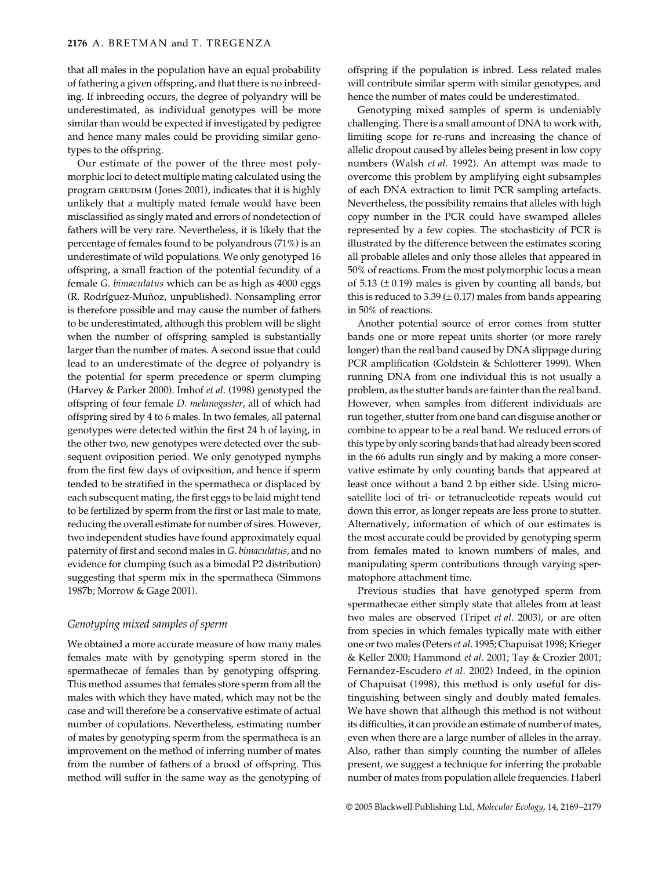## 2176 A. BRETMAN and T. TREGENZA

that all males in the population have an equal probability of fathering a given offspring, and that there is no inbreeding. If inbreeding occurs, the degree of polyandry will be underestimated, as individual genotypes will be more similar than would be expected if investigated by pedigree and hence many males could be providing similar genotypes to the offspring.

Our estimate of the power of the three most polymorphic loci to detect multiple mating calculated using the program GERUDSIM (Jones 2001), indicates that it is highly unlikely that a multiply mated female would have been misclassified as singly mated and errors of nondetection of fathers will be very rare. Nevertheless, it is likely that the percentage of females found to be polyandrous (71%) is an underestimate of wild populations. We only genotyped 16 offspring, a small fraction of the potential fecundity of a female *G. bimaculatus* which can be as high as 4000 eggs (R. Rodríguez-Muñoz, unpublished). Nonsampling error is therefore possible and may cause the number of fathers to be underestimated, although this problem will be slight when the number of offspring sampled is substantially larger than the number of mates. A second issue that could lead to an underestimate of the degree of polyandry is the potential for sperm precedence or sperm clumping (Harvey & Parker 2000). Imhof *et al*. (1998) genotyped the offspring of four female *D. melanogaster*, all of which had offspring sired by 4 to 6 males. In two females, all paternal genotypes were detected within the first 24 h of laying, in the other two, new genotypes were detected over the subsequent oviposition period. We only genotyped nymphs from the first few days of oviposition, and hence if sperm tended to be stratified in the spermatheca or displaced by each subsequent mating, the first eggs to be laid might tend to be fertilized by sperm from the first or last male to mate, reducing the overall estimate for number of sires. However, two independent studies have found approximately equal paternity of first and second males in *G. bimaculatus*, and no evidence for clumping (such as a bimodal P2 distribution) suggesting that sperm mix in the spermatheca (Simmons 1987b; Morrow & Gage 2001).

# *Genotyping mixed samples of sperm*

We obtained a more accurate measure of how many males females mate with by genotyping sperm stored in the spermathecae of females than by genotyping offspring. This method assumes that females store sperm from all the males with which they have mated, which may not be the case and will therefore be a conservative estimate of actual number of copulations. Nevertheless, estimating number of mates by genotyping sperm from the spermatheca is an improvement on the method of inferring number of mates from the number of fathers of a brood of offspring. This method will suffer in the same way as the genotyping of offspring if the population is inbred. Less related males will contribute similar sperm with similar genotypes, and hence the number of mates could be underestimated.

Genotyping mixed samples of sperm is undeniably challenging. There is a small amount of DNA to work with, limiting scope for re-runs and increasing the chance of allelic dropout caused by alleles being present in low copy numbers (Walsh *et al*. 1992). An attempt was made to overcome this problem by amplifying eight subsamples of each DNA extraction to limit PCR sampling artefacts. Nevertheless, the possibility remains that alleles with high copy number in the PCR could have swamped alleles represented by a few copies. The stochasticity of PCR is illustrated by the difference between the estimates scoring all probable alleles and only those alleles that appeared in 50% of reactions. From the most polymorphic locus a mean of 5.13  $(\pm 0.19)$  males is given by counting all bands, but this is reduced to 3.39  $(\pm 0.17)$  males from bands appearing in 50% of reactions.

Another potential source of error comes from stutter bands one or more repeat units shorter (or more rarely longer) than the real band caused by DNA slippage during PCR amplification (Goldstein & Schlotterer 1999). When running DNA from one individual this is not usually a problem, as the stutter bands are fainter than the real band. However, when samples from different individuals are run together, stutter from one band can disguise another or combine to appear to be a real band. We reduced errors of this type by only scoring bands that had already been scored in the 66 adults run singly and by making a more conservative estimate by only counting bands that appeared at least once without a band 2 bp either side. Using microsatellite loci of tri- or tetranucleotide repeats would cut down this error, as longer repeats are less prone to stutter. Alternatively, information of which of our estimates is the most accurate could be provided by genotyping sperm from females mated to known numbers of males, and manipulating sperm contributions through varying spermatophore attachment time.

Previous studies that have genotyped sperm from spermathecae either simply state that alleles from at least two males are observed (Tripet *et al*. 2003), or are often from species in which females typically mate with either one or two males (Peters *et al*. 1995; Chapuisat 1998; Krieger & Keller 2000; Hammond *et al*. 2001; Tay & Crozier 2001; Fernandez-Escudero *et al*. 2002) Indeed, in the opinion of Chapuisat (1998), this method is only useful for distinguishing between singly and doubly mated females. We have shown that although this method is not without its difficulties, it can provide an estimate of number of mates, even when there are a large number of alleles in the array. Also, rather than simply counting the number of alleles present, we suggest a technique for inferring the probable number of mates from population allele frequencies. Haberl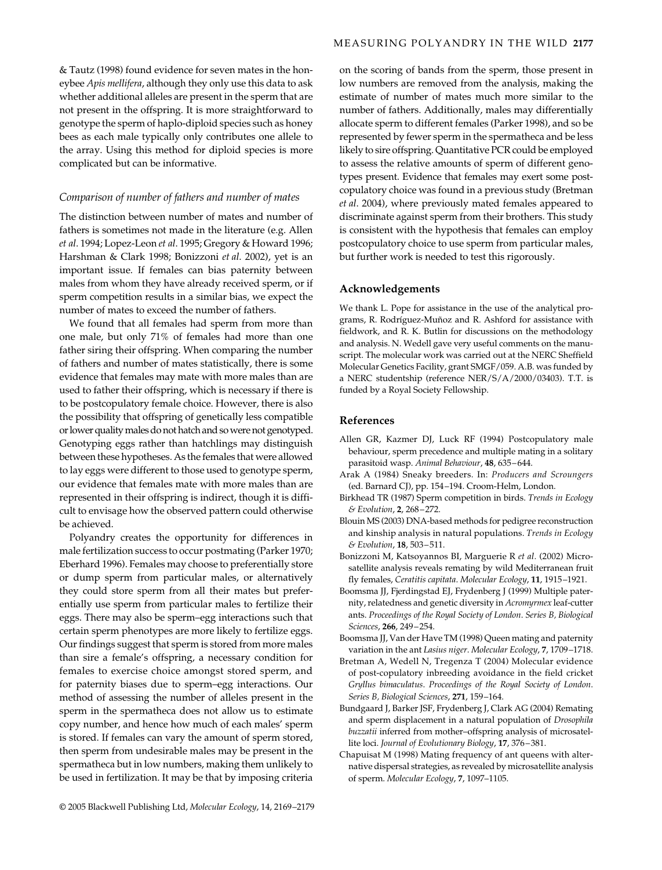& Tautz (1998) found evidence for seven mates in the honeybee *Apis mellifera*, although they only use this data to ask whether additional alleles are present in the sperm that are not present in the offspring. It is more straightforward to genotype the sperm of haplo-diploid species such as honey bees as each male typically only contributes one allele to the array. Using this method for diploid species is more complicated but can be informative.

#### *Comparison of number of fathers and number of mates*

The distinction between number of mates and number of fathers is sometimes not made in the literature (e.g. Allen *et al*. 1994; Lopez-Leon *et al*. 1995; Gregory & Howard 1996; Harshman & Clark 1998; Bonizzoni *et al*. 2002), yet is an important issue. If females can bias paternity between males from whom they have already received sperm, or if sperm competition results in a similar bias, we expect the number of mates to exceed the number of fathers.

We found that all females had sperm from more than one male, but only 71% of females had more than one father siring their offspring. When comparing the number of fathers and number of mates statistically, there is some evidence that females may mate with more males than are used to father their offspring, which is necessary if there is to be postcopulatory female choice. However, there is also the possibility that offspring of genetically less compatible or lower quality males do not hatch and so were not genotyped. Genotyping eggs rather than hatchlings may distinguish between these hypotheses. As the females that were allowed to lay eggs were different to those used to genotype sperm, our evidence that females mate with more males than are represented in their offspring is indirect, though it is difficult to envisage how the observed pattern could otherwise be achieved.

Polyandry creates the opportunity for differences in male fertilization success to occur postmating (Parker 1970; Eberhard 1996). Females may choose to preferentially store or dump sperm from particular males, or alternatively they could store sperm from all their mates but preferentially use sperm from particular males to fertilize their eggs. There may also be sperm–egg interactions such that certain sperm phenotypes are more likely to fertilize eggs. Our findings suggest that sperm is stored from more males than sire a female's offspring, a necessary condition for females to exercise choice amongst stored sperm, and for paternity biases due to sperm–egg interactions. Our method of assessing the number of alleles present in the sperm in the spermatheca does not allow us to estimate copy number, and hence how much of each males' sperm is stored. If females can vary the amount of sperm stored, then sperm from undesirable males may be present in the spermatheca but in low numbers, making them unlikely to be used in fertilization. It may be that by imposing criteria

on the scoring of bands from the sperm, those present in low numbers are removed from the analysis, making the estimate of number of mates much more similar to the number of fathers. Additionally, males may differentially allocate sperm to different females (Parker 1998), and so be represented by fewer sperm in the spermatheca and be less likely to sire offspring. Quantitative PCR could be employed to assess the relative amounts of sperm of different genotypes present. Evidence that females may exert some postcopulatory choice was found in a previous study (Bretman *et al*. 2004), where previously mated females appeared to discriminate against sperm from their brothers. This study is consistent with the hypothesis that females can employ postcopulatory choice to use sperm from particular males, but further work is needed to test this rigorously.

## **Acknowledgements**

We thank L. Pope for assistance in the use of the analytical programs, R. Rodríguez-Muñoz and R. Ashford for assistance with fieldwork, and R. K. Butlin for discussions on the methodology and analysis. N. Wedell gave very useful comments on the manuscript. The molecular work was carried out at the NERC Sheffield Molecular Genetics Facility, grant SMGF/059. A.B. was funded by a NERC studentship (reference NER/S/A/2000/03403). T.T. is funded by a Royal Society Fellowship.

#### **References**

- Allen GR, Kazmer DJ, Luck RF (1994) Postcopulatory male behaviour, sperm precedence and multiple mating in a solitary parasitoid wasp. *Animal Behaviour*, **48**, 635–644.
- Arak A (1984) Sneaky breeders. In: *Producers and Scroungers* (ed. Barnard CJ), pp. 154–194. Croom-Helm, London.
- Birkhead TR (1987) Sperm competition in birds. *Trends in Ecology & Evolution*, **2**, 268–272.
- Blouin MS (2003) DNA-based methods for pedigree reconstruction and kinship analysis in natural populations. *Trends in Ecology & Evolution*, **18**, 503–511.
- Bonizzoni M, Katsoyannos BI, Marguerie R *et al.* (2002) Microsatellite analysis reveals remating by wild Mediterranean fruit fly females, *Ceratitis capitata*. *Molecular Ecology*, **11**, 1915–1921.
- Boomsma JJ, Fjerdingstad EJ, Frydenberg J (1999) Multiple paternity, relatedness and genetic diversity in *Acromyrmex* leaf-cutter ants. *Proceedings of the Royal Society of London*. *Series B, Biological Sciences*, **266**, 249–254.
- Boomsma JJ, Van der Have TM (1998) Queen mating and paternity variation in the ant *Lasius niger*. *Molecular Ecology*, **7**, 1709–1718.
- Bretman A, Wedell N, Tregenza T (2004) Molecular evidence of post-copulatory inbreeding avoidance in the field cricket *Gryllus bimaculatus*. *Proceedings of the Royal Society of London*. *Series B, Biological Sciences*, **271**, 159–164.
- Bundgaard J, Barker JSF, Frydenberg J, Clark AG (2004) Remating and sperm displacement in a natural population of *Drosophila buzzatii* inferred from mother–offspring analysis of microsatellite loci. *Journal of Evolutionary Biology*, **17**, 376–381.
- Chapuisat M (1998) Mating frequency of ant queens with alternative dispersal strategies, as revealed by microsatellite analysis of sperm. *Molecular Ecology*, **7**, 1097–1105.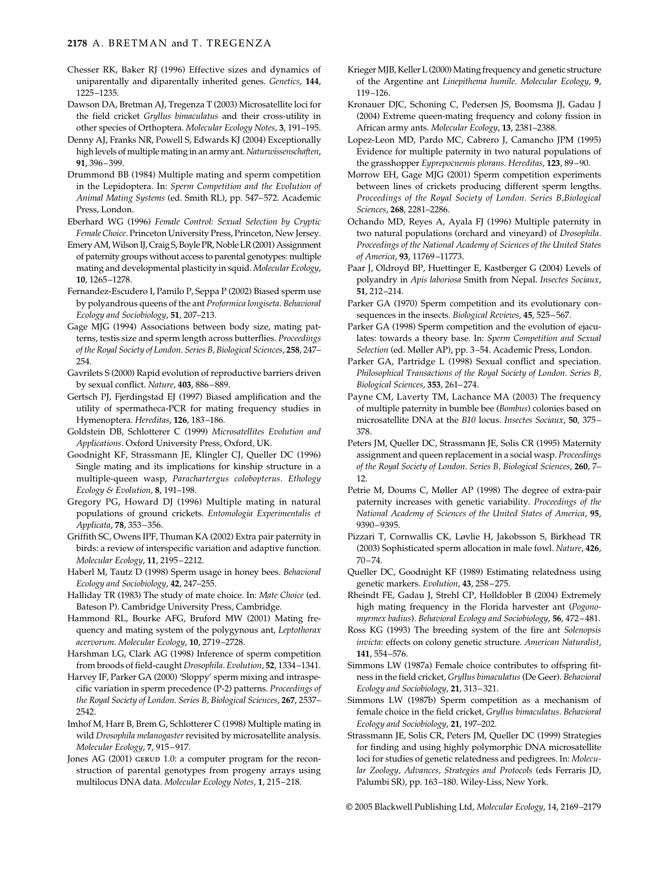## 2178 A. BRETMAN and T. TREGENZA

- Chesser RK, Baker RJ (1996) Effective sizes and dynamics of uniparentally and diparentally inherited genes. *Genetics*, **144**, 1225–1235.
- Dawson DA, Bretman AJ, Tregenza T (2003) Microsatellite loci for the field cricket *Gryllus bimaculatus* and their cross-utility in other species of Orthoptera. *Molecular Ecology Notes*, **3**, 191–195.
- Denny AJ, Franks NR, Powell S, Edwards KJ (2004) Exceptionally high levels of multiple mating in an army ant. *Naturwissenschaften*, **91**, 396–399.
- Drummond BB (1984) Multiple mating and sperm competition in the Lepidoptera. In: *Sperm Competition and the Evolution of Animal Mating Systems* (ed. Smith RL), pp. 547–572. Academic Press, London.
- Eberhard WG (1996) *Female Control: Sexual Selection by Cryptic Female Choice*. Princeton University Press, Princeton, New Jersey.
- Emery AM, Wilson IJ, Craig S, Boyle PR, Noble LR (2001) Assignment of paternity groups without access to parental genotypes: multiple mating and developmental plasticity in squid. *Molecular Ecology*, **10**, 1265–1278.
- Fernandez-Escudero I, Pamilo P, Seppa P (2002) Biased sperm use by polyandrous queens of the ant *Proformica longiseta*. *Behavioral Ecology and Sociobiology*, **51**, 207–213.
- Gage MJG (1994) Associations between body size, mating patterns, testis size and sperm length across butterflies. *Proceedings of the Royal Society of London*. *Series B, Biological Sciences*, **258**, 247– 254.
- Gavrilets S (2000) Rapid evolution of reproductive barriers driven by sexual conflict. *Nature*, **403**, 886–889.
- Gertsch PJ, Fjerdingstad EJ (1997) Biased amplification and the utility of spermatheca-PCR for mating frequency studies in Hymenoptera. *Hereditas*, **126**, 183–186.
- Goldstein DB, Schlotterer C (1999) *Microsatellites Evolution and Applications*. Oxford University Press, Oxford, UK.
- Goodnight KF, Strassmann JE, Klingler CJ, Queller DC (1996) Single mating and its implications for kinship structure in a multiple-queen wasp, *Parachartergus colobopterus*. *Ethology Ecology & Evolution*, **8**, 191–198.
- Gregory PG, Howard DJ (1996) Multiple mating in natural populations of ground crickets. *Entomologia Experimentalis et Applicata*, **78**, 353–356.
- Griffith SC, Owens IPF, Thuman KA (2002) Extra pair paternity in birds: a review of interspecific variation and adaptive function. *Molecular Ecology*, **11**, 2195–2212.
- Haberl M, Tautz D (1998) Sperm usage in honey bees. *Behavioral Ecology and Sociobiology*, **42**, 247–255.
- Halliday TR (1983) The study of mate choice. In: *Mate Choice* (ed. Bateson P). Cambridge University Press, Cambridge.
- Hammond RL, Bourke AFG, Bruford MW (2001) Mating frequency and mating system of the polygynous ant, *Leptothorax acervorum*. *Molecular Ecology*, **10**, 2719–2728.
- Harshman LG, Clark AG (1998) Inference of sperm competition from broods of field-caught *Drosophila*. *Evolution*, **52**, 1334–1341.
- Harvey IF, Parker GA (2000) 'Sloppy' sperm mixing and intraspecific variation in sperm precedence (P-2) patterns. *Proceedings of the Royal Society of London*. *Series B, Biological Sciences*, **267**, 2537– 2542.
- Imhof M, Harr B, Brem G, Schlotterer C (1998) Multiple mating in wild *Drosophila melanogaster* revisited by microsatellite analysis. *Molecular Ecology*, **7**, 915–917.
- Jones AG (2001) GERUD 1.0: a computer program for the reconstruction of parental genotypes from progeny arrays using multilocus DNA data. *Molecular Ecology Notes*, **1**, 215–218.
- Krieger MJB, Keller L (2000) Mating frequency and genetic structure of the Argentine ant *Linepithema humile*. *Molecular Ecology*, **9**, 119–126.
- Kronauer DJC, Schoning C, Pedersen JS, Boomsma JJ, Gadau J (2004) Extreme queen-mating frequency and colony fission in African army ants. *Molecular Ecology*, **13**, 2381–2388.
- Lopez-Leon MD, Pardo MC, Cabrero J, Camancho JPM (1995) Evidence for multiple paternity in two natural populations of the grasshopper *Eyprepocnemis plorans*. *Hereditas*, **123**, 89–90.
- Morrow EH, Gage MJG (2001) Sperm competition experiments between lines of crickets producing different sperm lengths. *Proceedings of the Royal Society of London*. *Series B,Biological Sciences*, **268**, 2281–2286.
- Ochando MD, Reyes A, Ayala FJ (1996) Multiple paternity in two natural populations (orchard and vineyard) of *Drosophila*. *Proceedings of the National Academy of Sciences of the United States of America*, **93**, 11769–11773.
- Paar J, Oldroyd BP, Huettinger E, Kastberger G (2004) Levels of polyandry in *Apis laboriosa* Smith from Nepal. *Insectes Sociaux*, **51**, 212–214.
- Parker GA (1970) Sperm competition and its evolutionary consequences in the insects. *Biological Reviews*, **45**, 525–567.
- Parker GA (1998) Sperm competition and the evolution of ejaculates: towards a theory base. In: *Sperm Competition and Sexual Selection* (ed. Møller AP), pp. 3–54. Academic Press, London.
- Parker GA, Partridge L (1998) Sexual conflict and speciation. *Philosophical Transactions of the Royal Society of London*. *Series B, Biological Sciences*, **353**, 261–274.
- Payne CM, Laverty TM, Lachance MA (2003) The frequency of multiple paternity in bumble bee (*Bombus*) colonies based on microsatellite DNA at the *B10* locus. *Insectes Sociaux*, **50**, 375– 378.
- Peters JM, Queller DC, Strassmann JE, Solis CR (1995) Maternity assignment and queen replacement in a social wasp. *Proceedings of the Royal Society of London*. *Series B, Biological Sciences*, **260**, 7– 12.
- Petrie M, Doums C, Møller AP (1998) The degree of extra-pair paternity increases with genetic variability. *Proceedings of the National Academy of Sciences of the United States of America*, **95**, 9390–9395.
- Pizzari T, Cornwallis CK, Løvlie H, Jakobsson S, Birkhead TR (2003) Sophisticated sperm allocation in male fowl. *Nature*, **426**, 70–74.
- Queller DC, Goodnight KF (1989) Estimating relatedness using genetic markers. *Evolution*, **43**, 258–275.
- Rheindt FE, Gadau J, Strehl CP, Holldobler B (2004) Extremely high mating frequency in the Florida harvester ant (*Pogonomyrmex badius*). *Behavioral Ecology and Sociobiology*, **56**, 472–481.
- Ross KG (1993) The breeding system of the fire ant *Solenopsis invicta*: effects on colony genetic structure. *American Naturalist*, **141**, 554–576.
- Simmons LW (1987a) Female choice contributes to offspring fitness in the field cricket, *Gryllus bimaculatus* (De Geer). *Behavioral Ecology and Sociobiology*, **21**, 313–321.
- Simmons LW (1987b) Sperm competition as a mechanism of female choice in the field cricket, *Gryllus bimaculatus*. *Behavioral Ecology and Sociobiology*, **21**, 197–202.
- Strassmann JE, Solis CR, Peters JM, Queller DC (1999) Strategies for finding and using highly polymorphic DNA microsatellite loci for studies of genetic relatedness and pedigrees. In: *Molecular Zoology, Advances, Strategies and Protocols* (eds Ferraris JD, Palumbi SR), pp. 163–180. Wiley-Liss, New York.

© 2005 Blackwell Publishing Ltd, *Molecular Ecology*, 14, 2169–2179